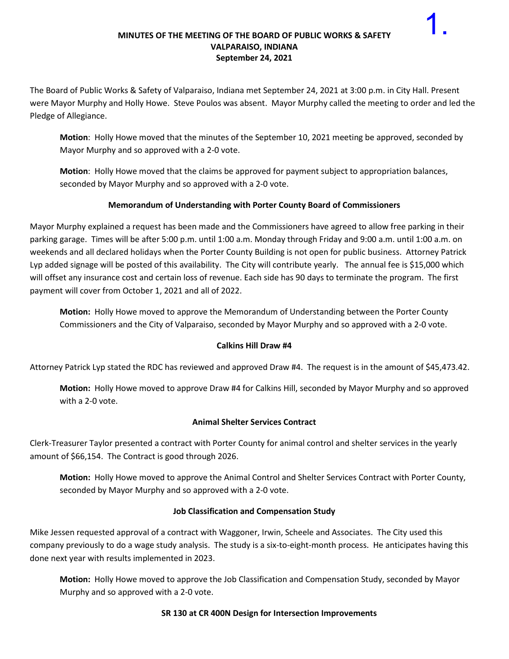#### **MINUTES OF THE MEETING OF THE BOARD OF PUBLIC WORKS & SAFETY VALPARAISO, INDIANA September 24, 2021**

1.

The Board of Public Works & Safety of Valparaiso, Indiana met September 24, 2021 at 3:00 p.m. in City Hall. Present were Mayor Murphy and Holly Howe. Steve Poulos was absent. Mayor Murphy called the meeting to order and led the Pledge of Allegiance.

**Motion**: Holly Howe moved that the minutes of the September 10, 2021 meeting be approved, seconded by Mayor Murphy and so approved with a 2-0 vote.

**Motion**: Holly Howe moved that the claims be approved for payment subject to appropriation balances, seconded by Mayor Murphy and so approved with a 2-0 vote.

# **Memorandum of Understanding with Porter County Board of Commissioners**

Mayor Murphy explained a request has been made and the Commissioners have agreed to allow free parking in their parking garage. Times will be after 5:00 p.m. until 1:00 a.m. Monday through Friday and 9:00 a.m. until 1:00 a.m. on weekends and all declared holidays when the Porter County Building is not open for public business. Attorney Patrick Lyp added signage will be posted of this availability. The City will contribute yearly. The annual fee is \$15,000 which will offset any insurance cost and certain loss of revenue. Each side has 90 days to terminate the program. The first payment will cover from October 1, 2021 and all of 2022.

**Motion:** Holly Howe moved to approve the Memorandum of Understanding between the Porter County Commissioners and the City of Valparaiso, seconded by Mayor Murphy and so approved with a 2-0 vote.

### **Calkins Hill Draw #4**

Attorney Patrick Lyp stated the RDC has reviewed and approved Draw #4. The request is in the amount of \$45,473.42.

**Motion:** Holly Howe moved to approve Draw #4 for Calkins Hill, seconded by Mayor Murphy and so approved with a 2-0 vote.

### **Animal Shelter Services Contract**

Clerk-Treasurer Taylor presented a contract with Porter County for animal control and shelter services in the yearly amount of \$66,154. The Contract is good through 2026.

**Motion:** Holly Howe moved to approve the Animal Control and Shelter Services Contract with Porter County, seconded by Mayor Murphy and so approved with a 2-0 vote.

### **Job Classification and Compensation Study**

Mike Jessen requested approval of a contract with Waggoner, Irwin, Scheele and Associates. The City used this company previously to do a wage study analysis. The study is a six-to-eight-month process. He anticipates having this done next year with results implemented in 2023.

**Motion:** Holly Howe moved to approve the Job Classification and Compensation Study, seconded by Mayor Murphy and so approved with a 2-0 vote.

### **SR 130 at CR 400N Design for Intersection Improvements**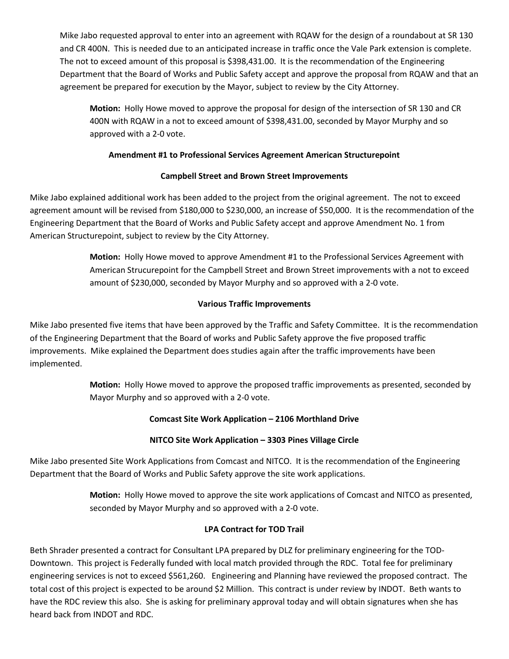Mike Jabo requested approval to enter into an agreement with RQAW for the design of a roundabout at SR 130 and CR 400N. This is needed due to an anticipated increase in traffic once the Vale Park extension is complete. The not to exceed amount of this proposal is \$398,431.00. It is the recommendation of the Engineering Department that the Board of Works and Public Safety accept and approve the proposal from RQAW and that an agreement be prepared for execution by the Mayor, subject to review by the City Attorney.

**Motion:** Holly Howe moved to approve the proposal for design of the intersection of SR 130 and CR 400N with RQAW in a not to exceed amount of \$398,431.00, seconded by Mayor Murphy and so approved with a 2-0 vote.

### **Amendment #1 to Professional Services Agreement American Structurepoint**

# **Campbell Street and Brown Street Improvements**

Mike Jabo explained additional work has been added to the project from the original agreement. The not to exceed agreement amount will be revised from \$180,000 to \$230,000, an increase of \$50,000. It is the recommendation of the Engineering Department that the Board of Works and Public Safety accept and approve Amendment No. 1 from American Structurepoint, subject to review by the City Attorney.

> **Motion:** Holly Howe moved to approve Amendment #1 to the Professional Services Agreement with American Strucurepoint for the Campbell Street and Brown Street improvements with a not to exceed amount of \$230,000, seconded by Mayor Murphy and so approved with a 2-0 vote.

# **Various Traffic Improvements**

Mike Jabo presented five items that have been approved by the Traffic and Safety Committee. It is the recommendation of the Engineering Department that the Board of works and Public Safety approve the five proposed traffic improvements. Mike explained the Department does studies again after the traffic improvements have been implemented.

> **Motion:** Holly Howe moved to approve the proposed traffic improvements as presented, seconded by Mayor Murphy and so approved with a 2-0 vote.

# **Comcast Site Work Application – 2106 Morthland Drive**

### **NITCO Site Work Application – 3303 Pines Village Circle**

Mike Jabo presented Site Work Applications from Comcast and NITCO. It is the recommendation of the Engineering Department that the Board of Works and Public Safety approve the site work applications.

> **Motion:** Holly Howe moved to approve the site work applications of Comcast and NITCO as presented, seconded by Mayor Murphy and so approved with a 2-0 vote.

### **LPA Contract for TOD Trail**

Beth Shrader presented a contract for Consultant LPA prepared by DLZ for preliminary engineering for the TOD-Downtown. This project is Federally funded with local match provided through the RDC. Total fee for preliminary engineering services is not to exceed \$561,260. Engineering and Planning have reviewed the proposed contract. The total cost of this project is expected to be around \$2 Million. This contract is under review by INDOT. Beth wants to have the RDC review this also. She is asking for preliminary approval today and will obtain signatures when she has heard back from INDOT and RDC.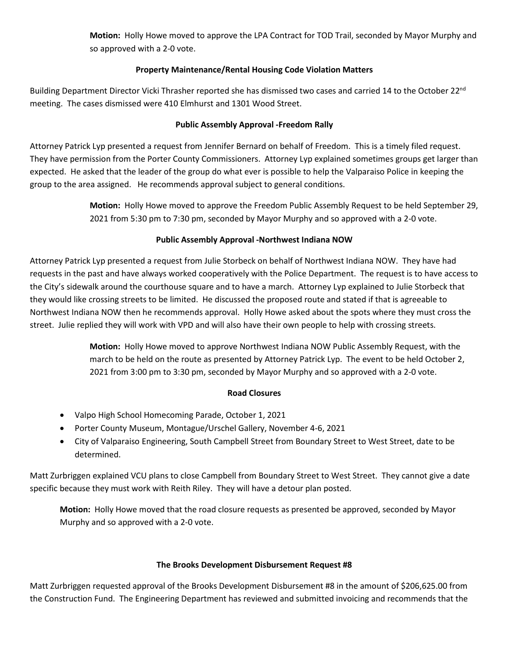**Motion:** Holly Howe moved to approve the LPA Contract for TOD Trail, seconded by Mayor Murphy and so approved with a 2-0 vote.

### **Property Maintenance/Rental Housing Code Violation Matters**

Building Department Director Vicki Thrasher reported she has dismissed two cases and carried 14 to the October 22<sup>nd</sup> meeting. The cases dismissed were 410 Elmhurst and 1301 Wood Street.

#### **Public Assembly Approval -Freedom Rally**

Attorney Patrick Lyp presented a request from Jennifer Bernard on behalf of Freedom. This is a timely filed request. They have permission from the Porter County Commissioners. Attorney Lyp explained sometimes groups get larger than expected. He asked that the leader of the group do what ever is possible to help the Valparaiso Police in keeping the group to the area assigned. He recommends approval subject to general conditions.

> **Motion:** Holly Howe moved to approve the Freedom Public Assembly Request to be held September 29, 2021 from 5:30 pm to 7:30 pm, seconded by Mayor Murphy and so approved with a 2-0 vote.

### **Public Assembly Approval -Northwest Indiana NOW**

Attorney Patrick Lyp presented a request from Julie Storbeck on behalf of Northwest Indiana NOW. They have had requests in the past and have always worked cooperatively with the Police Department. The request is to have access to the City's sidewalk around the courthouse square and to have a march. Attorney Lyp explained to Julie Storbeck that they would like crossing streets to be limited. He discussed the proposed route and stated if that is agreeable to Northwest Indiana NOW then he recommends approval. Holly Howe asked about the spots where they must cross the street. Julie replied they will work with VPD and will also have their own people to help with crossing streets.

> **Motion:** Holly Howe moved to approve Northwest Indiana NOW Public Assembly Request, with the march to be held on the route as presented by Attorney Patrick Lyp. The event to be held October 2, 2021 from 3:00 pm to 3:30 pm, seconded by Mayor Murphy and so approved with a 2-0 vote.

#### **Road Closures**

- Valpo High School Homecoming Parade, October 1, 2021
- Porter County Museum, Montague/Urschel Gallery, November 4-6, 2021
- City of Valparaiso Engineering, South Campbell Street from Boundary Street to West Street, date to be determined.

Matt Zurbriggen explained VCU plans to close Campbell from Boundary Street to West Street. They cannot give a date specific because they must work with Reith Riley. They will have a detour plan posted.

**Motion:** Holly Howe moved that the road closure requests as presented be approved, seconded by Mayor Murphy and so approved with a 2-0 vote.

#### **The Brooks Development Disbursement Request #8**

Matt Zurbriggen requested approval of the Brooks Development Disbursement #8 in the amount of \$206,625.00 from the Construction Fund. The Engineering Department has reviewed and submitted invoicing and recommends that the